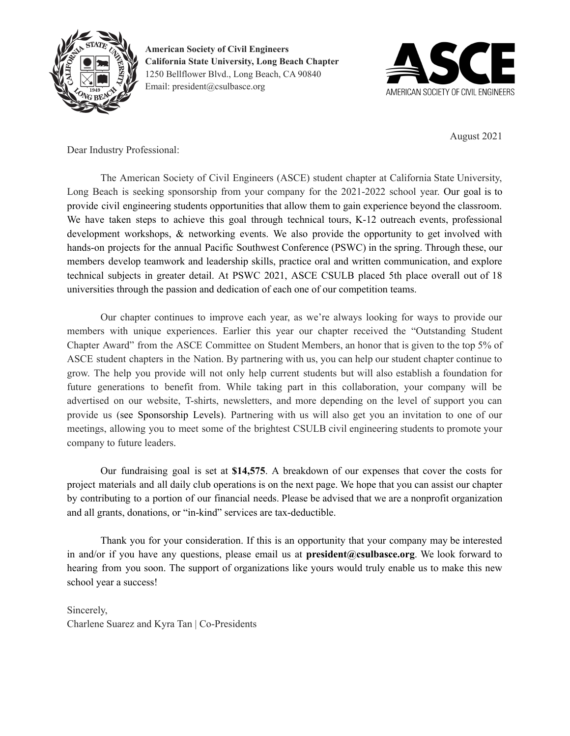



August 2021

Dear Industry Professional:

The American Society of Civil Engineers (ASCE) student chapter at California State University, Long Beach is seeking sponsorship from your company for the 2021-2022 school year. Our goal is to provide civil engineering students opportunities that allow them to gain experience beyond the classroom. We have taken steps to achieve this goal through technical tours, K-12 outreach events, professional development workshops, & networking events. We also provide the opportunity to get involved with hands-on projects for the annual Pacific Southwest Conference (PSWC) in the spring. Through these, our members develop teamwork and leadership skills, practice oral and written communication, and explore technical subjects in greater detail. At PSWC 2021, ASCE CSULB placed 5th place overall out of 18 universities through the passion and dedication of each one of our competition teams.

Our chapter continues to improve each year, as we're always looking for ways to provide our members with unique experiences. Earlier this year our chapter received the "Outstanding Student Chapter Award" from the ASCE Committee on Student Members, an honor that is given to the top 5% of ASCE student chapters in the Nation. By partnering with us, you can help our student chapter continue to grow. The help you provide will not only help current students but will also establish a foundation for future generations to benefit from. While taking part in this collaboration, your company will be advertised on our website, T-shirts, newsletters, and more depending on the level of support you can provide us (see Sponsorship Levels). Partnering with us will also get you an invitation to one of our meetings, allowing you to meet some of the brightest CSULB civil engineering students to promote your company to future leaders.

Our fundraising goal is set at **\$14,575**. A breakdown of our expenses that cover the costs for project materials and all daily club operations is on the next page. We hope that you can assist our chapter by contributing to a portion of our financial needs. Please be advised that we are a nonprofit organization and all grants, donations, or "in-kind" services are tax-deductible.

Thank you for your consideration. If this is an opportunity that your company may be interested in and/or if you have any questions, please email us at **president@csulbasce.org**. We look forward to hearing from you soon. The support of organizations like yours would truly enable us to make this new school year a success!

Sincerely, Charlene Suarez and Kyra Tan | Co-Presidents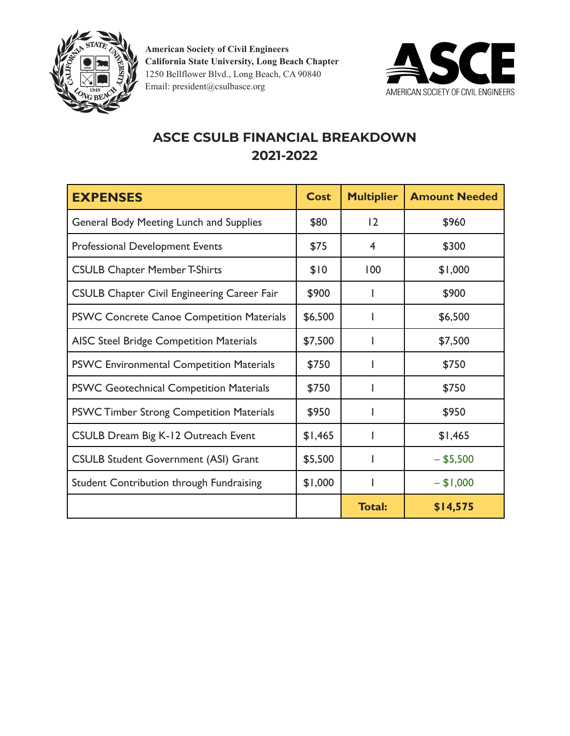



## **ASCE CSULB FINANCIAL BREAKDOWN 2021-2022**

| <b>EXPENSES</b>                                    | <b>Cost</b> | <b>Multiplier</b> | <b>Amount Needed</b> |
|----------------------------------------------------|-------------|-------------------|----------------------|
| <b>General Body Meeting Lunch and Supplies</b>     | \$80        | 12                | \$960                |
| <b>Professional Development Events</b>             | \$75        | 4                 | \$300                |
| <b>CSULB Chapter Member T-Shirts</b>               | \$10        | 100               | \$1,000              |
| <b>CSULB Chapter Civil Engineering Career Fair</b> | \$900       |                   | \$900                |
| <b>PSWC Concrete Canoe Competition Materials</b>   | \$6,500     |                   | \$6,500              |
| <b>AISC Steel Bridge Competition Materials</b>     | \$7,500     |                   | \$7,500              |
| <b>PSWC Environmental Competition Materials</b>    | \$750       |                   | \$750                |
| <b>PSWC Geotechnical Competition Materials</b>     | \$750       |                   | \$750                |
| <b>PSWC Timber Strong Competition Materials</b>    | \$950       |                   | \$950                |
| <b>CSULB Dream Big K-12 Outreach Event</b>         | \$1,465     |                   | \$1,465              |
| <b>CSULB Student Government (ASI) Grant</b>        | \$5,500     |                   | $-$ \$5,500          |
| Student Contribution through Fundraising           | \$1,000     |                   | $- $1,000$           |
|                                                    |             | <b>Total:</b>     | \$14,575             |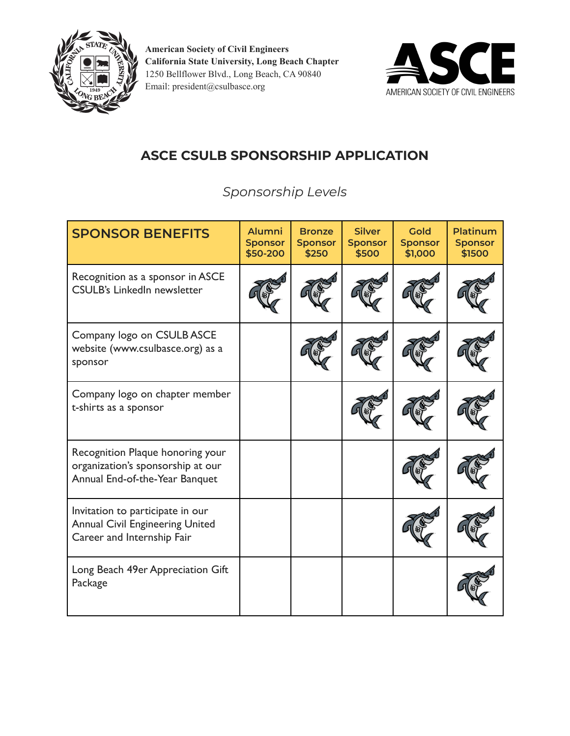



## **ASCE CSULB SPONSORSHIP APPLICATION**

*Sponsorship Levels*

| <b>SPONSOR BENEFITS</b>                                                                                  | <b>Alumni</b><br><b>Sponsor</b><br>\$50-200 | <b>Bronze</b><br><b>Sponsor</b><br>\$250 | <b>Silver</b><br><b>Sponsor</b><br>\$500 | Gold<br><b>Sponsor</b><br>\$1,000 | <b>Platinum</b><br><b>Sponsor</b><br>\$1500 |
|----------------------------------------------------------------------------------------------------------|---------------------------------------------|------------------------------------------|------------------------------------------|-----------------------------------|---------------------------------------------|
| Recognition as a sponsor in ASCE<br><b>CSULB's LinkedIn newsletter</b>                                   |                                             |                                          |                                          |                                   |                                             |
| Company logo on CSULB ASCE<br>website (www.csulbasce.org) as a<br>sponsor                                |                                             |                                          |                                          |                                   |                                             |
| Company logo on chapter member<br>t-shirts as a sponsor                                                  |                                             |                                          |                                          |                                   |                                             |
| Recognition Plaque honoring your<br>organization's sponsorship at our<br>Annual End-of-the-Year Banquet  |                                             |                                          |                                          |                                   |                                             |
| Invitation to participate in our<br><b>Annual Civil Engineering United</b><br>Career and Internship Fair |                                             |                                          |                                          |                                   |                                             |
| Long Beach 49er Appreciation Gift<br>Package                                                             |                                             |                                          |                                          |                                   |                                             |